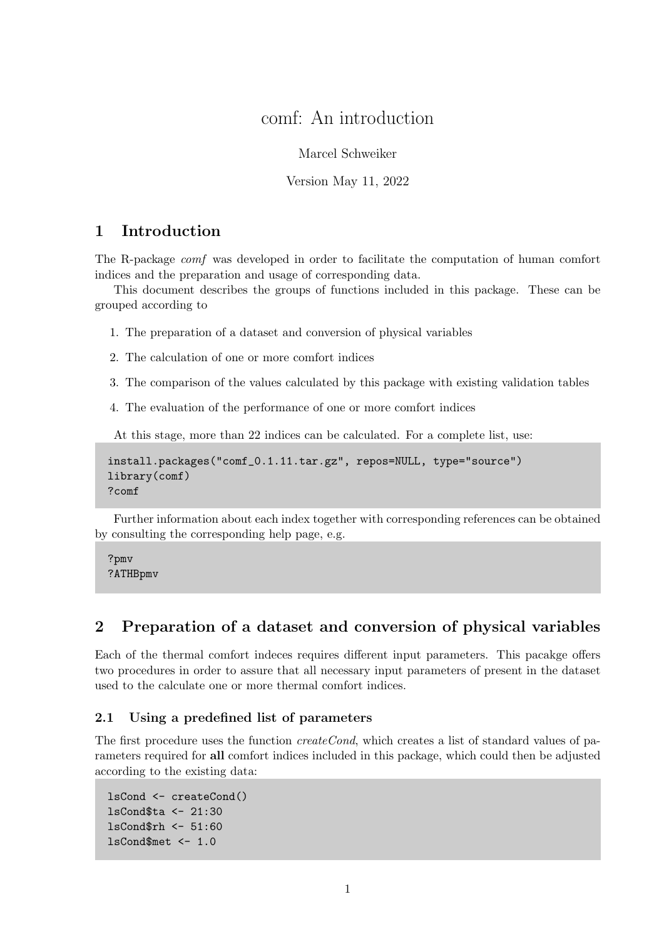# comf: An introduction

Marcel Schweiker

Version May 11, 2022

### 1 Introduction

The R-package comf was developed in order to facilitate the computation of human comfort indices and the preparation and usage of corresponding data.

This document describes the groups of functions included in this package. These can be grouped according to

- 1. The preparation of a dataset and conversion of physical variables
- 2. The calculation of one or more comfort indices
- 3. The comparison of the values calculated by this package with existing validation tables
- 4. The evaluation of the performance of one or more comfort indices

At this stage, more than 22 indices can be calculated. For a complete list, use:

```
install.packages("comf_0.1.11.tar.gz", repos=NULL, type="source")
library(comf)
?comf
```
Further information about each index together with corresponding references can be obtained by consulting the corresponding help page, e.g.

?pmv ?ATHBpmv

### 2 Preparation of a dataset and conversion of physical variables

Each of the thermal comfort indeces requires different input parameters. This pacakge offers two procedures in order to assure that all necessary input parameters of present in the dataset used to the calculate one or more thermal comfort indices.

#### 2.1 Using a predefined list of parameters

The first procedure uses the function  $createCond$ , which creates a list of standard values of parameters required for all comfort indices included in this package, which could then be adjusted according to the existing data:

```
lsCond <- createCond()
lsCond$ta <- 21:30
lsCond$rh <- 51:60
lsCond$met <- 1.0
```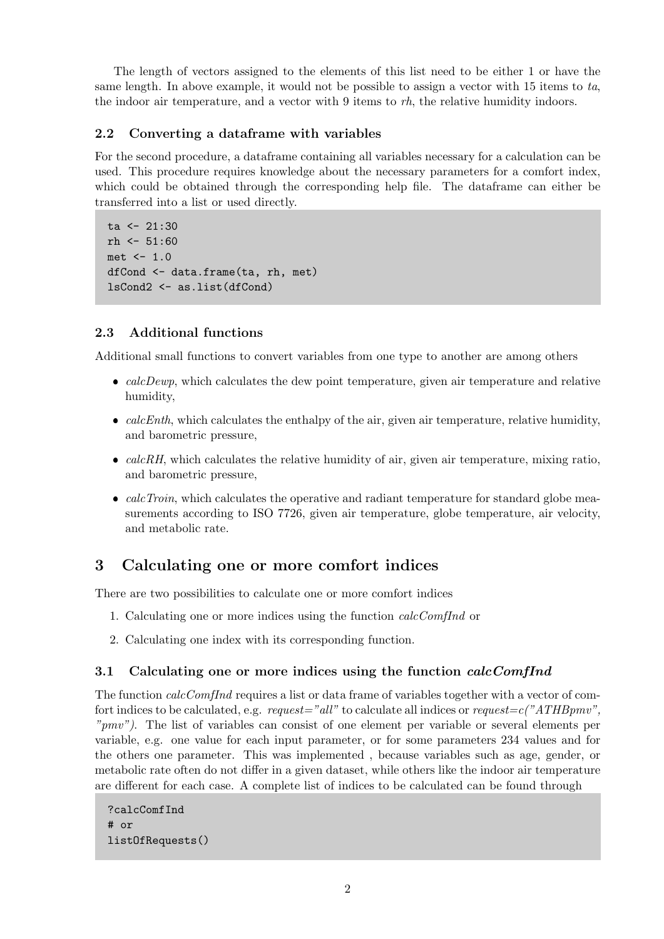The length of vectors assigned to the elements of this list need to be either 1 or have the same length. In above example, it would not be possible to assign a vector with 15 items to ta, the indoor air temperature, and a vector with 9 items to rh, the relative humidity indoors.

### 2.2 Converting a dataframe with variables

For the second procedure, a dataframe containing all variables necessary for a calculation can be used. This procedure requires knowledge about the necessary parameters for a comfort index, which could be obtained through the corresponding help file. The dataframe can either be transferred into a list or used directly.

```
ta < -21:30rh <- 51:60met <- 1.0
dfCond <- data.frame(ta, rh, met)
lsCond2 <- as.list(dfCond)
```
#### 2.3 Additional functions

Additional small functions to convert variables from one type to another are among others

- $\bullet$  calcDewp, which calculates the dew point temperature, given air temperature and relative humidity,
- $\bullet$  calcEnth, which calculates the enthalpy of the air, given air temperature, relative humidity, and barometric pressure,
- $\bullet$  calcRH, which calculates the relative humidity of air, given air temperature, mixing ratio, and barometric pressure,
- $\bullet$  calcTroin, which calculates the operative and radiant temperature for standard globe measurements according to ISO 7726, given air temperature, globe temperature, air velocity, and metabolic rate.

### 3 Calculating one or more comfort indices

There are two possibilities to calculate one or more comfort indices

- 1. Calculating one or more indices using the function calcComfInd or
- 2. Calculating one index with its corresponding function.

#### 3.1 Calculating one or more indices using the function *calcComfInd*

The function *calcComfInd* requires a list or data frame of variables together with a vector of comfort indices to be calculated, e.g.  $request="all"$  to calculate all indices or  $request=c("ATHBpmv",$ "pmv"). The list of variables can consist of one element per variable or several elements per variable, e.g. one value for each input parameter, or for some parameters 234 values and for the others one parameter. This was implemented , because variables such as age, gender, or metabolic rate often do not differ in a given dataset, while others like the indoor air temperature are different for each case. A complete list of indices to be calculated can be found through

```
?calcComfInd
# or
listOfRequests()
```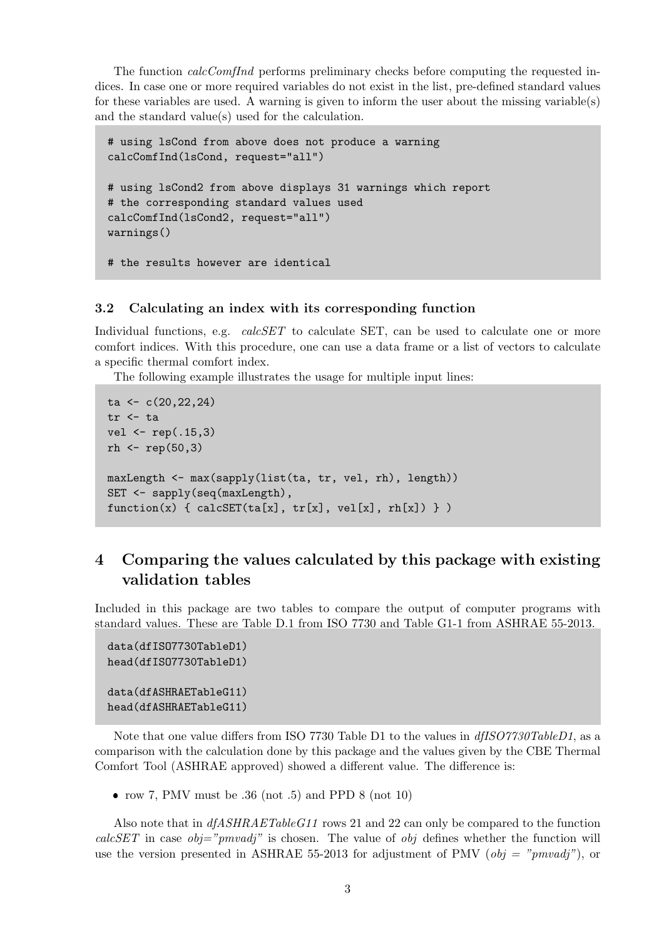The function *calcComfInd* performs preliminary checks before computing the requested indices. In case one or more required variables do not exist in the list, pre-defined standard values for these variables are used. A warning is given to inform the user about the missing variable(s) and the standard value(s) used for the calculation.

```
# using lsCond from above does not produce a warning
calcComfInd(lsCond, request="all")
# using lsCond2 from above displays 31 warnings which report
# the corresponding standard values used
calcComfInd(lsCond2, request="all")
warnings()
# the results however are identical
```
#### 3.2 Calculating an index with its corresponding function

Individual functions, e.g.  $calcSET$  to calculate SET, can be used to calculate one or more comfort indices. With this procedure, one can use a data frame or a list of vectors to calculate a specific thermal comfort index.

The following example illustrates the usage for multiple input lines:

```
ta \leftarrow c(20,22,24)
tr <- ta
vel <- rep(.15,3)
rh \leftarrow rep(50,3)maxLength <- max(sapply(list(ta, tr, vel, rh), length))
SET <- sapply(seq(maxLength),
function(x) \{ calcSET(ta[x], tr[x], vel[x], rh[x]) \} )
```
## 4 Comparing the values calculated by this package with existing validation tables

Included in this package are two tables to compare the output of computer programs with standard values. These are Table D.1 from ISO 7730 and Table G1-1 from ASHRAE 55-2013.

```
data(dfISO7730TableD1)
head(dfISO7730TableD1)
data(dfASHRAETableG11)
head(dfASHRAETableG11)
```
Note that one value differs from ISO 7730 Table D1 to the values in  $dfISO7730TableD1$ , as a comparison with the calculation done by this package and the values given by the CBE Thermal Comfort Tool (ASHRAE approved) showed a different value. The difference is:

• row 7, PMV must be  $.36$  (not  $.5$ ) and PPD 8 (not  $10$ )

Also note that in  $dfASHRAETableG11$  rows 21 and 22 can only be compared to the function calcSET in case  $obj="pmvadj"$  is chosen. The value of  $obj$  defines whether the function will use the version presented in ASHRAE 55-2013 for adjustment of PMV ( $obj = "pmvadj"$ ), or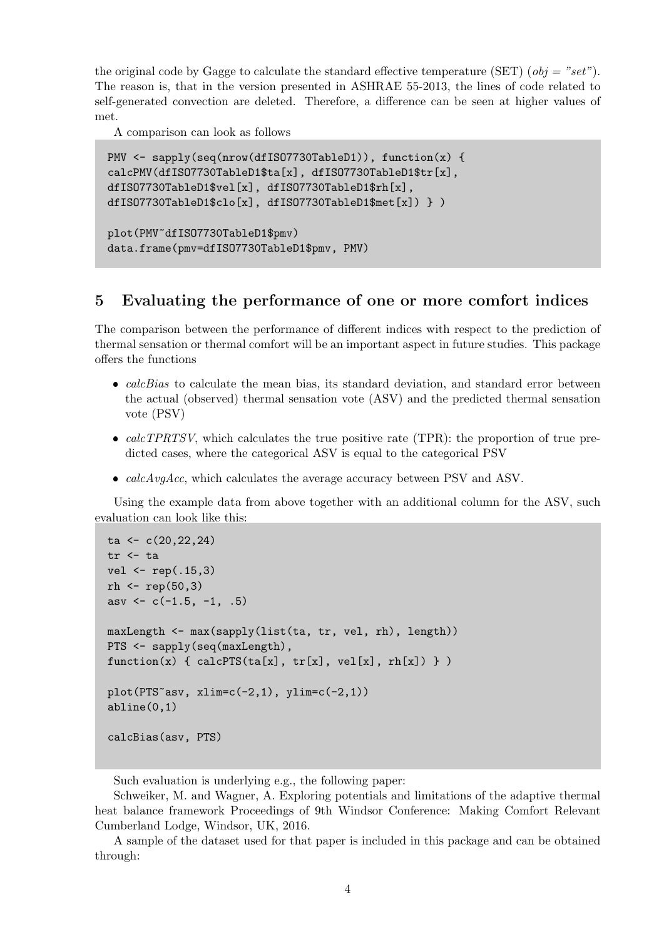the original code by Gagge to calculate the standard effective temperature (SET) ( $obj = "set"$ ). The reason is, that in the version presented in ASHRAE 55-2013, the lines of code related to self-generated convection are deleted. Therefore, a difference can be seen at higher values of met.

A comparison can look as follows

```
PMV <- sapply(seq(nrow(dfISO7730TableD1)), function(x) {
calcPMV(dfISO7730TableD1$ta[x], dfISO7730TableD1$tr[x],
dfISO7730TableD1$vel[x], dfISO7730TableD1$rh[x],
dfISO7730TableD1$clo[x], dfISO7730TableD1$met[x]) } )
plot(PMV~dfISO7730TableD1$pmv)
data.frame(pmv=dfISO7730TableD1$pmv, PMV)
```
### 5 Evaluating the performance of one or more comfort indices

The comparison between the performance of different indices with respect to the prediction of thermal sensation or thermal comfort will be an important aspect in future studies. This package offers the functions

- $\bullet$  calcBias to calculate the mean bias, its standard deviation, and standard error between the actual (observed) thermal sensation vote (ASV) and the predicted thermal sensation vote (PSV)
- $\bullet$  calcTPRTSV, which calculates the true positive rate (TPR): the proportion of true predicted cases, where the categorical ASV is equal to the categorical PSV
- $calcAvgAcc$ , which calculates the average accuracy between PSV and ASV.

Using the example data from above together with an additional column for the ASV, such evaluation can look like this:

```
ta \leftarrow c(20,22,24)
tr <- ta
vel < -rep(.15,3)rh < - rep(50, 3)asv \leftarrow c(-1.5, -1, .5)maxLength <- max(sapply(list(ta, tr, vel, rh), length))
PTS <- sapply(seq(maxLength),
function(x) \{ calcPTS(ta[x], tr[x], vel[x], rh[x]) \} )plot(PTS~asv, xlim=c(-2,1), ylim=c(-2,1))
abline(0,1)calcBias(asv, PTS)
```
Such evaluation is underlying e.g., the following paper:

Schweiker, M. and Wagner, A. Exploring potentials and limitations of the adaptive thermal heat balance framework Proceedings of 9th Windsor Conference: Making Comfort Relevant Cumberland Lodge, Windsor, UK, 2016.

A sample of the dataset used for that paper is included in this package and can be obtained through: